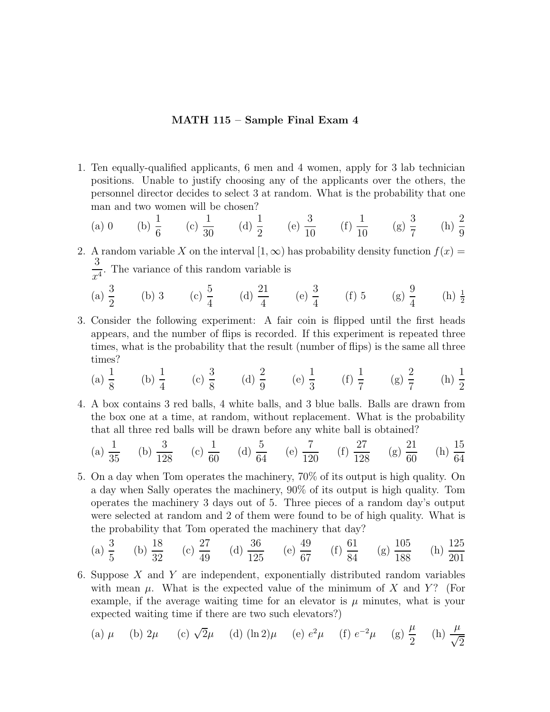## MATH 115 – Sample Final Exam 4

1. Ten equally-qualified applicants, 6 men and 4 women, apply for 3 lab technician positions. Unable to justify choosing any of the applicants over the others, the personnel director decides to select 3 at random. What is the probability that one man and two women will be chosen?

(a) 0 (b) 
$$
\frac{1}{6}
$$
 (c)  $\frac{1}{30}$  (d)  $\frac{1}{2}$  (e)  $\frac{3}{10}$  (f)  $\frac{1}{10}$  (g)  $\frac{3}{7}$  (h)  $\frac{2}{9}$ 

- 2. A random variable X on the interval  $[1,\infty)$  has probability density function  $f(x) =$ 3  $\frac{3}{x^4}$ . The variance of this random variable is
	- (a)  $\frac{3}{2}$ 2 (b) 3 (c)  $\frac{5}{4}$ 4 (d)  $\frac{21}{4}$ 4 (e)  $\frac{3}{4}$ 4 (f) 5 (g)  $\frac{9}{4}$ 4  $(h) \frac{1}{2}$
- 3. Consider the following experiment: A fair coin is flipped until the first heads appears, and the number of flips is recorded. If this experiment is repeated three times, what is the probability that the result (number of flips) is the same all three times?

(a) 
$$
\frac{1}{8}
$$
 (b)  $\frac{1}{4}$  (c)  $\frac{3}{8}$  (d)  $\frac{2}{9}$  (e)  $\frac{1}{3}$  (f)  $\frac{1}{7}$  (g)  $\frac{2}{7}$  (h)  $\frac{1}{2}$ 

4. A box contains 3 red balls, 4 white balls, and 3 blue balls. Balls are drawn from the box one at a time, at random, without replacement. What is the probability that all three red balls will be drawn before any white ball is obtained?

(a) 
$$
\frac{1}{35}
$$
 (b)  $\frac{3}{128}$  (c)  $\frac{1}{60}$  (d)  $\frac{5}{64}$  (e)  $\frac{7}{120}$  (f)  $\frac{27}{128}$  (g)  $\frac{21}{60}$  (h)  $\frac{15}{64}$ 

5. On a day when Tom operates the machinery, 70% of its output is high quality. On a day when Sally operates the machinery, 90% of its output is high quality. Tom operates the machinery 3 days out of 5. Three pieces of a random day's output were selected at random and 2 of them were found to be of high quality. What is the probability that Tom operated the machinery that day?

(a) 
$$
\frac{3}{5}
$$
 (b)  $\frac{18}{32}$  (c)  $\frac{27}{49}$  (d)  $\frac{36}{125}$  (e)  $\frac{49}{67}$  (f)  $\frac{61}{84}$  (g)  $\frac{105}{188}$  (h)  $\frac{125}{201}$ 

6. Suppose X and Y are independent, exponentially distributed random variables with mean  $\mu$ . What is the expected value of the minimum of X and Y? (For example, if the average waiting time for an elevator is  $\mu$  minutes, what is your expected waiting time if there are two such elevators?)

(a) 
$$
\mu
$$
 (b)  $2\mu$  (c)  $\sqrt{2}\mu$  (d)  $(\ln 2)\mu$  (e)  $e^2\mu$  (f)  $e^{-2}\mu$  (g)  $\frac{\mu}{2}$  (h)  $\frac{\mu}{\sqrt{2}}$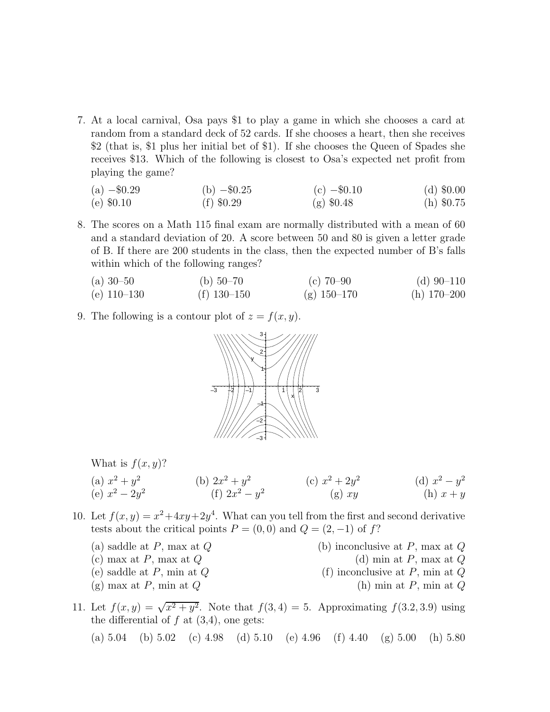7. At a local carnival, Osa pays \$1 to play a game in which she chooses a card at random from a standard deck of 52 cards. If she chooses a heart, then she receives \$2 (that is, \$1 plus her initial bet of \$1). If she chooses the Queen of Spades she receives \$13. Which of the following is closest to Osa's expected net profit from playing the game?

| (a) $-\$0.29$ | (b) $-\$0.25$ | (c) $-\$0.10$ | (d) $\$0.00$ |
|---------------|---------------|---------------|--------------|
| (e) $$0.10$   | (f) $$0.29$   | (g) $$0.48$   | (h) $\$0.75$ |

8. The scores on a Math 115 final exam are normally distributed with a mean of 60 and a standard deviation of 20. A score between 50 and 80 is given a letter grade of B. If there are 200 students in the class, then the expected number of B's falls within which of the following ranges?

(a) 30–50 (b) 50–70 (c) 70–90 (d) 90–110 (e) 110–130 (f) 130–150 (g) 150–170 (h) 170–200

9. The following is a contour plot of  $z = f(x, y)$ .



What is  $f(x, y)$ ?

(a) 
$$
x^2 + y^2
$$
  
\n(b)  $2x^2 + y^2$   
\n(c)  $x^2 + 2y^2$   
\n(d)  $x^2 - y^2$   
\n(e)  $x^2 - 2y^2$   
\n(f)  $2x^2 - y^2$   
\n(g) xy  
\n(h)  $x + y$ 

- 10. Let  $f(x, y) = x^2 + 4xy + 2y^4$ . What can you tell from the first and second derivative tests about the critical points  $P = (0,0)$  and  $Q = (2,-1)$  of f?
	- (a) saddle at P, max at  $Q$  (b) inconclusive at P, max at  $Q$
	-
	-
	- (g) max at P, min at  $Q$  (h) min at P, min at  $Q$
	- (c) max at  $P$ , max at  $Q$  (d) min at  $P$ , max at  $Q$
	- (e) saddle at  $P$ , min at  $Q$  (f) inconclusive at  $P$ , min at  $Q$ 
		-

11. Let  $f(x, y) = \sqrt{x^2 + y^2}$ . Note that  $f(3, 4) = 5$ . Approximating  $f(3.2, 3.9)$  using the differential of  $f$  at  $(3,4)$ , one gets:

(a)  $5.04$  (b)  $5.02$  (c)  $4.98$  (d)  $5.10$  (e)  $4.96$  (f)  $4.40$  (g)  $5.00$  (h)  $5.80$